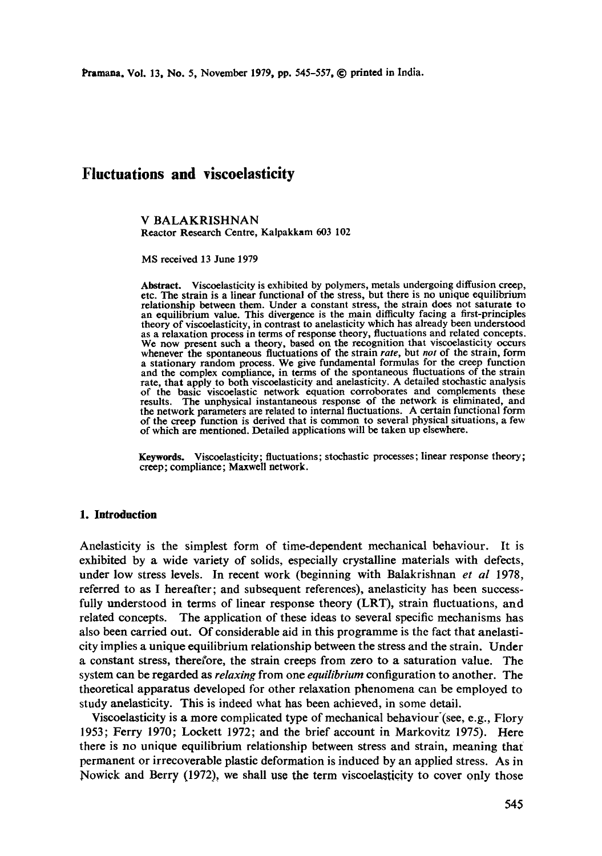Pramana, Vol. 13, No. 5, November 1979, pp. 545-557, © printed in India.

# **Fluctuations and viscoelasticity**

V BALAKRISHNAN Reactor Research Centre, Kalpakkam 603 102

MS received 13 June 1979

Abstract. Viscoelasticity is exhibited by polymers, metals undergoing diffusion creep, etc. The strain is a linear functional of the stress, but there is no unique equilibrium relationship between them. Under a constant stress, the strain does not saturate to an equilibrium value. This divergence is the main difficulty facing a first-principles theory of viscoelasticity, in contrast to anelasticity which has already been understood as a relaxation process in terms of response theory, fluctuations and related concepts. We now present such a theory, based on the recognition that viscoelasticity occurs whenever the spontaneous fluctuations of the strain *rate,* but *not* of the strain, form a stationary random process. We give fundamental formulas for the creep function and the complex compliance, in terms of the spontaneous fluctuations of the strain rate, that apply to both viscoelasticity and anelasticity. A detailed stochastic analysis of the basic viscoelastic network equation corroborates and complements these results. The unphysical instantaneous response of the network is eliminated, and The unphysical instantaneous response of the network is eliminated, and the network parameters are related to internal fluctuations. A certain functional form of the creep function is derived that is common to several physical situations, a few of which are mentioned. Detailed applications will be taken up elsewhere.

**Keywords.** Viscoelasticity; fluctuations; stochastic processes; linear response theory; creep; compliance; Maxwell network.

# **1. Introduction**

Anelasticity is the simplest form of time-dependent mechanical behaviour. It is exhibited by a wide variety of solids, especially crystalline materials with defects, under low stress levels. In recent work (beginning with Balakrishnan *et al* 1978, referred to as I hereafter; and subsequent references), anelasticity has been successfully understood in terms of linear response theory (LRT), strain fluctuations, and related concepts. The application of these ideas to several specific mechanisms has also been carried out. Of considerable aid in this programme is the fact that anelasticity implies a unique equilibrium relationship between the stress and the strain. Under a constant stress, therefore, the strain creeps from zero to a saturation value. The system can be regarded as *relaxing* from one *equilibrium* configuration to another. The theoretical apparatus developed for other relaxation phenomena can be employed to study anelasticity. This is indeed what has been achieved, in some detail.

Viscoelasticity is a more complicated type of mechanical behaviour'(see, e.g., Flory 1953; Ferry 1970; Lockett 1972; and the brief account in Markovitz 1975). Here there is no unique equilibrium relationship between stress and strain, meaning that permanent or irrecoverable plastic deformation is induced by an applied stress. As in Nowick and Berry (1972), we shall use the term viscoelasticity to cover only those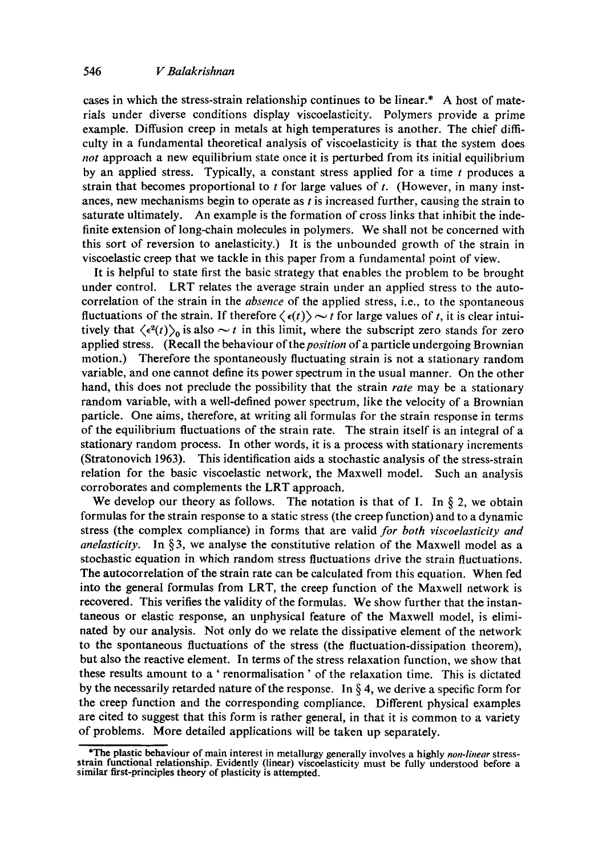cases in which the stress-strain relationship continues to be linear.\* A host of materials under diverse conditions display viscoelasticity. Polymers provide a prime example. Diffusion creep in metals at high temperatures is another. The chief difficulty in a fundamental theoretical analysis of viscoelasticity is that the system does *not* approach a new equilibrium state once it is perturbed from its initial equilibrium by an applied stress. Typically, a constant stress applied for a time  $t$  produces a strain that becomes proportional to  $t$  for large values of  $t$ . (However, in many instances, new mechanisms begin to operate as  $t$  is increased further, causing the strain to saturate ultimately. An example is the formation of cross links that inhibit the indefinite extension of long-chain molecules in polymers. We shall not be concerned with this sort of reversion to anelasticity.) It is the unbounded growth of the strain in viscoelastic creep that we tackle in this paper from a fundamental point of view.

It is helpful to state first the basic strategy that enables the problem to be brought under control. LRT relates the average strain under an applied stress to the autocorrelation of the strain in the *absence* of the applied stress, i.e., to the spontaneous fluctuations of the strain. If therefore  $\langle \epsilon(t) \rangle \sim t$  for large values of t, it is clear intuitively that  $\langle \epsilon^2(t) \rangle_0$  is also  $\sim t$  in this limit, where the subscript zero stands for zero applied stress. *(Recall the behaviour of the position of a particle undergoing Brownian*  motion.) Therefore the spontaneously fluctuating strain is not a stationary random variable, and one cannot define its power spectrum in the usual manner. On the other hand, this does not preclude the possibility that the strain *rate* may be a stationary random variable, with a well-defined power spectrum, like the velocity of a Brownian particle. One aims, therefore, at writing all formulas for the strain response in terms of the equilibrium fluctuations of the strain rate. The strain itself is an integral of a stationary random process. In other words, it is a process with stationary increments (Stratonovich 1963). This identification aids a stochastic analysis of the stress-strain relation for the basic viscoelastic network, the Maxwell model. Such an analysis corroborates and complements the LRT approach.

We develop our theory as follows. The notation is that of I. In  $\S$  2, we obtain formulas for the strain response to a static stress (the creep function) and to a dynamic stress (the complex compliance) in forms that are valid *for both viscoelasticity and anelasticity.* In  $\S$ 3, we analyse the constitutive relation of the Maxwell model as a stochastic equation in which random stress fluctuations drive the strain fluctuations. The autocorrelation of the strain rate can be calculated from this equation. When fed into the general formulas from LRT, the creep function of the Maxwell network is recovered. This verifies the validity of the formulas. We show further that the instantaneous or elastic response, an unphysical feature of the Maxwell model, is eliminated by our analysis. Not only do we relate the dissipative element of the network to the spontaneous fluctuations of the stress (the fluctuation-dissipation theorem), but also the reactive element. In terms of the stress relaxation function, we show that these results amount to a ' renormalisation ' of the relaxation time. This is dictated by the necessarily retarded nature of the response. In  $\S 4$ , we derive a specific form for the creep function and the corresponding compliance. Different physical examples are cited to suggest that this form is rather general, in that it is common to a variety of problems. More detailed applications will be taken up separately.

<sup>\*</sup>The plastic behaviour of main interest in metallurgy generally involves a highly *non-linear* stressstrain functional relationship. Evidently (linear) viscoelasticity must be fully understood before a similar first-principles theory of plasticity is attempted.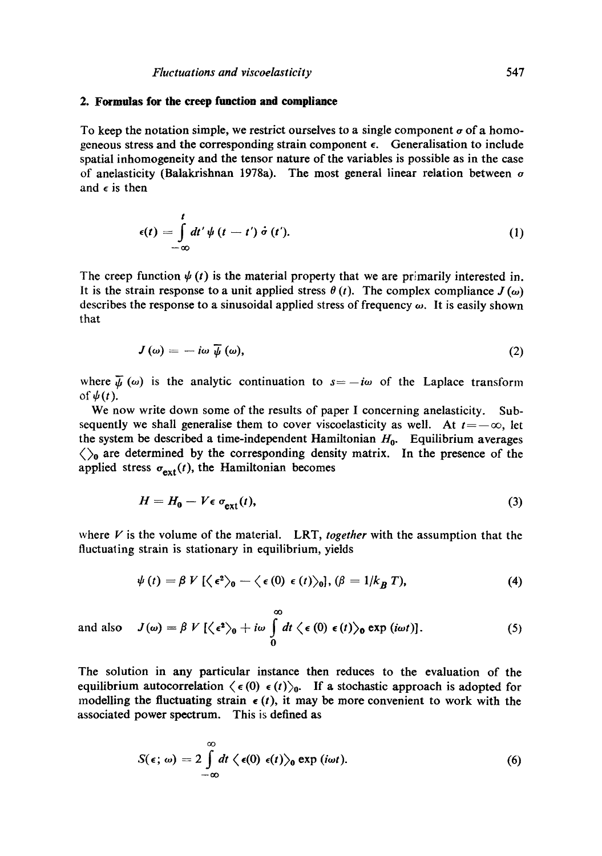## **2. Formulas for the creep function and compliance**

To keep the notation simple, we restrict ourselves to a single component  $\sigma$  of a homogeneous stress and the corresponding strain component  $\epsilon$ . Generalisation to include spatial inhomogeneity and the tensor nature of the variables is possible as in the case of anelasticity (Balakrishnan 1978a). The most general linear relation between  $\sigma$ and  $\epsilon$  is then

$$
\epsilon(t) = \int\limits_{-\infty}^{t} dt' \psi(t-t') \dot{\sigma}(t'). \qquad (1)
$$

The creep function  $\psi(t)$  is the material property that we are primarily interested in. It is the strain response to a unit applied stress  $\theta(t)$ . The complex compliance  $J(\omega)$ describes the response to a sinusoidal applied stress of frequency  $\omega$ . It is easily shown that

$$
J(\omega) = -i\omega \,\overline{\psi}(\omega),\tag{2}
$$

where  $\bar{\psi}(\omega)$  is the analytic continuation to  $s=-i\omega$  of the Laplace transform of  $\psi(t)$ .

We now write down some of the results of paper I concerning anelasticity. Subsequently we shall generalise them to cover viscoelasticity as well. At  $t=-\infty$ , let the system be described a time-independent Hamiltonian  $H_0$ . Equilibrium averages  $\langle \rangle_0$  are determined by the corresponding density matrix. In the presence of the applied stress  $\sigma_{ext}(t)$ , the Hamiltonian becomes

$$
H = H_0 - V \epsilon \, \sigma_{\text{ext}}(t),\tag{3}
$$

where V is the volume of the material. LRT, *together* with the assumption that the fluctuating strain is stationary in equilibrium, yields

$$
\psi(t) = \beta V \left[ \left\langle \epsilon^2 \right\rangle_0 - \left\langle \epsilon(0) \epsilon(t) \right\rangle_0 \right], (\beta = 1/k_B T), \tag{4}
$$

oO and also  $J(\omega) = \beta V [\langle \epsilon^2 \rangle_0 + i\omega \int dt \langle \epsilon(0) \epsilon(t) \rangle_0 \exp(i\omega t)].$  (5) **o** 

The solution in any particular instance then reduces to the evaluation of the equilibrium autocorrelation  $\langle \epsilon(0) \epsilon(t) \rangle_0$ . If a stochastic approach is adopted for modelling the fluctuating strain  $\epsilon(t)$ , it may be more convenient to work with the associated power spectrum. This is defined as

$$
S(\epsilon; \omega) = 2 \int_{-\infty}^{\infty} dt \langle \epsilon(0) \epsilon(t) \rangle_0 \exp(i\omega t).
$$
 (6)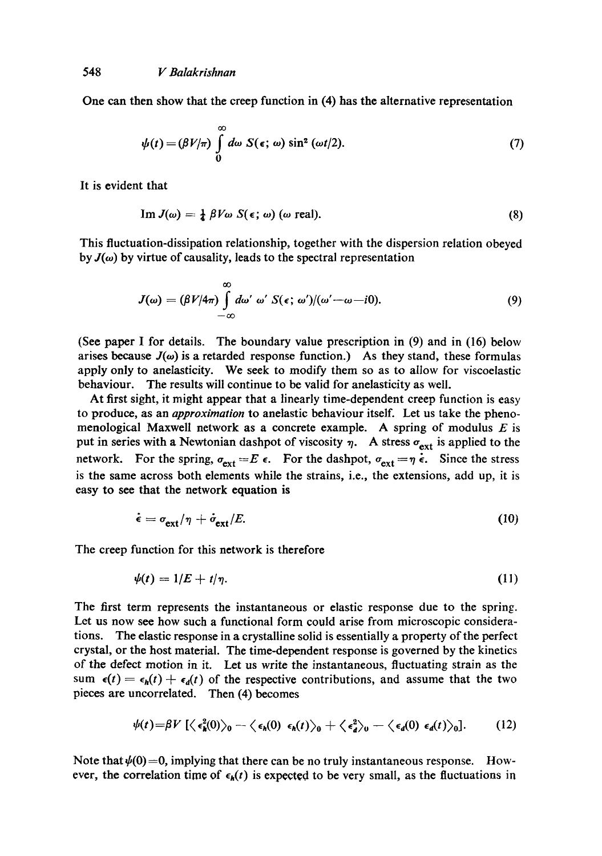One can then show that the creep function in (4) has the alternative representation

$$
\psi(t) = (\beta V/\pi) \int_{0}^{\infty} d\omega \ S(\epsilon; \omega) \sin^2(\omega t/2).
$$
 (7)

It is evident that

$$
\operatorname{Im} J(\omega) = \frac{1}{4} \beta V \omega S(\epsilon; \omega) \ (\omega \text{ real}). \tag{8}
$$

This fluctuation-dissipation relationship, together with the dispersion relation obeyed by  $J(\omega)$  by virtue of causality, leads to the spectral representation

$$
J(\omega) = (\beta V/4\pi) \int_{-\infty}^{\infty} d\omega' \, \omega' \, S(\epsilon; \, \omega')/(\omega' - \omega - i0). \tag{9}
$$

(See paper I for details. The boundary value prescription in (9) and in (16) below arises because  $J(\omega)$  is a retarded response function.) As they stand, these formulas apply only to anelasticity. We seek to modify them so as to allow for viscoelastic behaviour. The results will continue to be valid for anelasticity as well.

At first sight, it might appear that a linearly time-dependent creep function is easy to produce, as an *approximation* to anelastic behaviour itself. Let us take the phenomenological Maxwell network as a concrete example. A spring of modulus  $E$  is put in series with a Newtonian dashpot of viscosity  $\eta$ . A stress  $\sigma_{ext}$  is applied to the network. For the spring,  $\sigma_{ext} = E \epsilon$ . For the dashpot,  $\sigma_{ext} = \eta \dot{\epsilon}$ . Since the stress is the same across both elements while the strains, i.e., the extensions, add up, it is easy to see that the network equation is

$$
\dot{\epsilon} = \sigma_{\text{ext}}/\eta + \dot{\sigma}_{\text{ext}}/E. \tag{10}
$$

The creep function for this network is therefore

$$
\psi(t) = 1/E + t/\eta. \tag{11}
$$

The first term represents the instantaneous or elastic response due to the spring. Let us now see how such a functional form could arise from microscopic considerations. The elastic response in a crystalline solid is essentially a property of the perfect crystal, or the host material. The time-dependent response is governed by the kinetics of the defect motion in it. Let us write the instantaneous, fluctuating strain as the sum  $\epsilon(t) = \epsilon_h(t) + \epsilon_d(t)$  of the respective contributions, and assume that the two pieces are uncorrelated. Then (4) becomes

$$
\psi(t) = \beta V \left[ \langle \epsilon_h^2(0) \rangle_0 - \langle \epsilon_h(0) \epsilon_h(t) \rangle_0 + \langle \epsilon_d^2 \rangle_0 - \langle \epsilon_d(0) \epsilon_d(t) \rangle_0 \right]. \tag{12}
$$

Note that  $\psi(0)=0$ , implying that there can be no truly instantaneous response. However, the correlation time of  $\epsilon_h(t)$  is expected to be very small, as the fluctuations in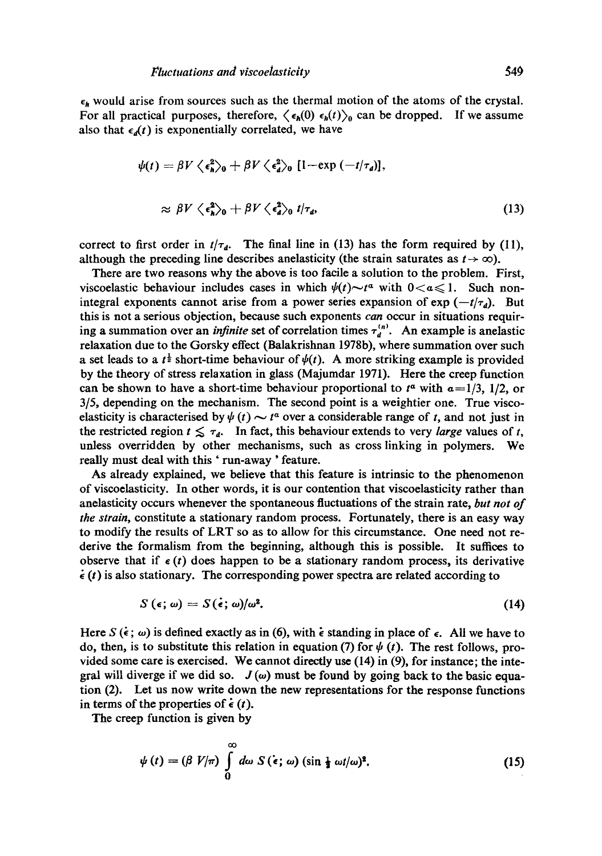$\epsilon_h$  would arise from sources such as the thermal motion of the atoms of the crystal. For all practical purposes, therefore,  $\langle \epsilon_h(0) \epsilon_h(t) \rangle_0$  can be dropped. If we assume also that  $\epsilon_d(t)$  is exponentially correlated, we have

$$
\psi(t) = \beta V \langle \epsilon_n^2 \rangle_0 + \beta V \langle \epsilon_d^2 \rangle_0 [1 - \exp(-t/\tau_a)],
$$
  

$$
\approx \beta V \langle \epsilon_n^2 \rangle_0 + \beta V \langle \epsilon_a^2 \rangle_0 t/\tau_a,
$$
 (13)

correct to first order in  $t/\tau_d$ . The final line in (13) has the form required by (11), although the preceding line describes anelasticity (the strain saturates as  $t \to \infty$ ).

There are two reasons why the above is too facile a solution to the problem. First, viscoelastic behaviour includes cases in which  $\psi(t) \sim t^{\alpha}$  with  $0 < \alpha \leq 1$ . Such nonintegral exponents cannot arise from a power series expansion of  $\exp(-t/\tau_d)$ . But this is not a serious objection, because such exponents can occur in situations requiring a summation over an *infinite* set of correlation times  $\tau_d^{(n)}$ . An example is anelastic relaxation due to the Gorsky effect (Balakrishnan 1978b), where summation over such a set leads to a  $t^{\frac{1}{2}}$  short-time behaviour of  $\psi(t)$ . A more striking example is provided by the theory of stress relaxation in glass (Majumdar 1971). Here the creep function can be shown to have a short-time behaviour proportional to  $t^{\alpha}$  with  $\alpha = 1/3$ , 1/2, or 3/5, depending on the mechanism. The second point is a weightier one. True viscoelasticity is characterised by  $\psi(t) \sim t^{\alpha}$  over a considerable range of t, and not just in the restricted region  $t \leq \tau_d$ . In fact, this behaviour extends to very *large* values of t, unless overridden by other mechanisms, such as cross linking in polymers. We really must deal with this 'run-away' feature.

As already explained, we believe that this feature is intrinsic to the phenomenon of viscoelasticity. In other words, it is our contention that viscoelasticity rather than anelasticity occurs whenever the spontaneous fluctuations of the strain rate, *but not of the strain,* constitute a stationary random process. Fortunately, there is an easy way to modify the results of LRT so as to allow for this circumstance. One need not rederive the formalism from the beginning, although this is possible. It suffices to observe that if  $\epsilon(t)$  does happen to be a stationary random process, its derivative  $\dot{\epsilon}$  (t) is also stationary. The corresponding power spectra are related according to

$$
S(\epsilon; \omega) = S(\epsilon; \omega)/\omega^2. \tag{14}
$$

Here S  $(\epsilon; \omega)$  is defined exactly as in (6), with  $\epsilon$  standing in place of  $\epsilon$ . All we have to do, then, is to substitute this relation in equation (7) for  $\psi$  (*t*). The rest follows, provided some care is exercised. We cannot directly use (14) in (9), for instance; the integral will diverge if we did so.  $J(\omega)$  must be found by going back to the basic equation (2). Let us now write down the new representations for the response functions in terms of the properties of  $\epsilon$  (*t*).

The creep function is given by

$$
\psi(t) = (\beta V/\pi) \int_{0}^{\infty} d\omega S(\epsilon; \omega) (\sin \frac{1}{2} \omega t/\omega)^{2}.
$$
 (15)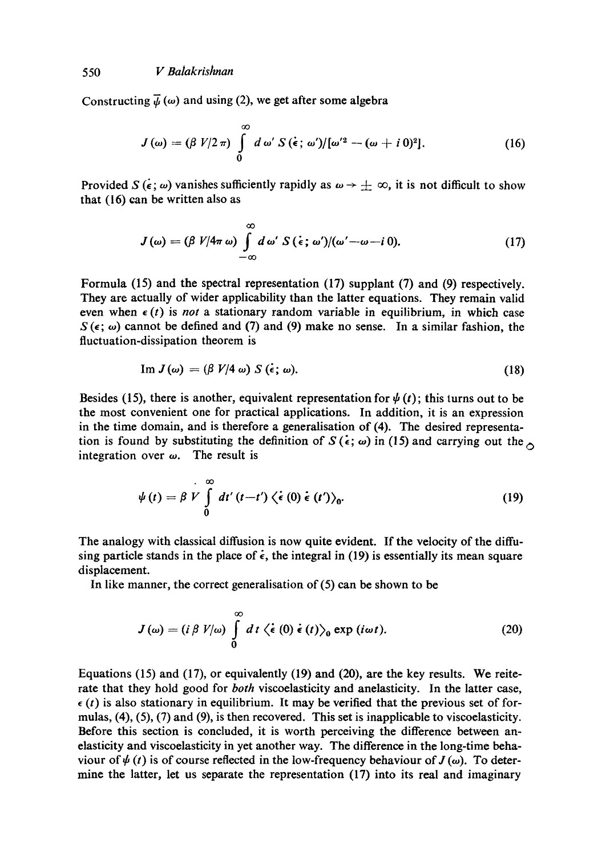Constructing  $\overline{\psi}$  ( $\omega$ ) and using (2), we get after some algebra

$$
J(\omega) = (\beta V/2 \pi) \int_{0}^{\infty} d\omega' S(\dot{\epsilon}; \omega')/[\omega'^2 - (\omega + i 0)^2]. \qquad (16)
$$

Provided  $S(\epsilon; \omega)$  vanishes sufficiently rapidly as  $\omega \to \pm \infty$ , it is not difficult to show that (16) can be written also as

$$
J(\omega) = (\beta V/4\pi \omega) \int_{-\infty}^{\infty} d\omega' S(\epsilon; \omega')/(\omega' - \omega - i 0). \qquad (17)
$$

Formula (15) and the spectral representation (17) supplant (7) and (9) respectively. They are actually of wider applicability than the latter equations. They remain valid even when  $\epsilon(t)$  is *not* a stationary random variable in equilibrium, in which case  $S(\epsilon; \omega)$  cannot be defined and (7) and (9) make no sense. In a similar fashion, the fluctuation-dissipation theorem is

$$
\text{Im } J(\omega) = (\beta V/4 \omega) S (\dot{\epsilon}; \omega). \tag{18}
$$

Besides (15), there is another, equivalent representation for  $\psi(t)$ ; this turns out to be the most convenient one for practical applications. In addition, it is an expression in the time domain, and is therefore a generalisation of (4). The desired representation is found by substituting the definition of  $S(\epsilon; \omega)$  in (15) and carrying out the  $\sim$ integration over  $\omega$ . The result is

$$
\psi(t) = \beta V \int_{0}^{\infty} dt' (t-t') \left\langle \dot{\epsilon} (0) \dot{\epsilon} (t') \right\rangle_{0}. \tag{19}
$$

The analogy with classical diffusion is now quite evident. If the velocity of the diffusing particle stands in the place of  $\epsilon$ , the integral in (19) is essentially its mean square displacement.

In like manner, the correct generalisation of (5) can be shown to be

$$
J(\omega) = (i \beta V/\omega) \int_{0}^{\infty} dt \langle \dot{\epsilon} (0) \dot{\epsilon} (t) \rangle_{0} \exp (i \omega t).
$$
 (20)

Equations (15) and (17), or equivalently (19) and (20), are the key results. We reiterate that they hold good for *both* viscoelasticity and anelasticity. In the latter case,  $\epsilon$  (t) is also stationary in equilibrium. It may be verified that the previous set of formulas,  $(4)$ ,  $(5)$ ,  $(7)$  and  $(9)$ , is then recovered. This set is inapplicable to viscoelasticity. Before this section is concluded, it is worth perceiving the difference between anelasticity and viscoelasticity in yet another way. The difference in the long-time behaviour of  $\psi(t)$  is of course reflected in the low-frequency behaviour of  $J(\omega)$ . To determine the latter, let us separate the representation (17) into its real and imaginary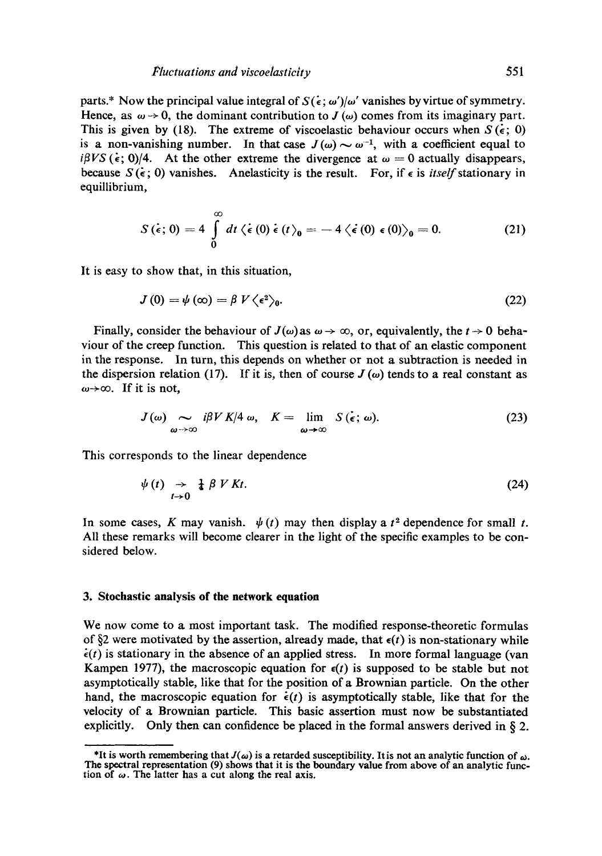parts.\* Now the principal value integral of  $S(\epsilon; \omega')/\omega'$  vanishes by virtue of symmetry. Hence, as  $\omega \rightarrow 0$ , the dominant contribution to  $J(\omega)$  comes from its imaginary part. This is given by (18). The extreme of viscoelastic behaviour occurs when  $S(\epsilon; 0)$ is a non-vanishing number. In that case  $J(\omega) \sim \omega^{-1}$ , with a coefficient equal to  $i\beta VS$  ( $\epsilon$ ; 0)/4. At the other extreme the divergence at  $\omega = 0$  actually disappears, because  $S(\epsilon; 0)$  vanishes. Anelasticity is the result. For, if  $\epsilon$  is *itself* stationary in equillibrium,

$$
S(\dot{\epsilon};0)=4\int\limits_{0}^{\infty}dt\,\langle\dot{\epsilon}(0)\dot{\epsilon}(t)\rangle_{0}=-4\,\langle\dot{\epsilon}(0)\epsilon(0)\rangle_{0}=0.
$$
 (21)

It is easy to show that, in this situation,

$$
J(0) = \psi(\infty) = \beta V \langle \epsilon^2 \rangle_0. \tag{22}
$$

Finally, consider the behaviour of  $J(\omega)$  as  $\omega \to \infty$ , or, equivalently, the  $t \to 0$  behaviour of the creep function. This question is related to that of an elastic component in the response. In turn, this depends on whether or not a subtraction is needed in the dispersion relation (17). If it is, then of course  $J(\omega)$  tends to a real constant as  $\omega \rightarrow \infty$ . If it is not.

$$
J(\omega) \sum_{\omega \to \infty} i\beta V K/4 \omega, \quad K = \lim_{\omega \to \infty} S(\epsilon; \omega). \tag{23}
$$

This corresponds to the linear dependence

$$
\psi(t) \rightarrow \frac{1}{t} \beta V Kt. \tag{24}
$$

In some cases, K may vanish.  $\psi(t)$  may then display a  $t^2$  dependence for small t. All these remarks will become clearer in the light of the specific examples to be considered below.

#### **3. Stochastic analysis of the network equation**

We now come to a most important task. The modified response-theoretic formulas of §2 were motivated by the assertion, already made, that  $\epsilon(t)$  is non-stationary while  $\dot{\epsilon}(t)$  is stationary in the absence of an applied stress. In more formal language (van Kampen 1977), the macroscopic equation for  $\epsilon(t)$  is supposed to be stable but not asymptotically stable, like that for the position of a Brownian particle. On the other hand, the macroscopic equation for  $\dot{\epsilon}(t)$  is asymptotically stable, like that for the velocity of a Brownian particle. This basic assertion must now be substantiated explicitly. Only then can confidence be placed in the formal answers derived in  $\S$ 2.

<sup>\*</sup>It is worth remembering that  $J(\omega)$  is a retarded susceptibility. It is not an analytic function of  $\omega$ . **The spectral representation (9) shows that it is the boundary value from above of an analytic func**tion of  $\omega$ . The latter has a cut along the real axis.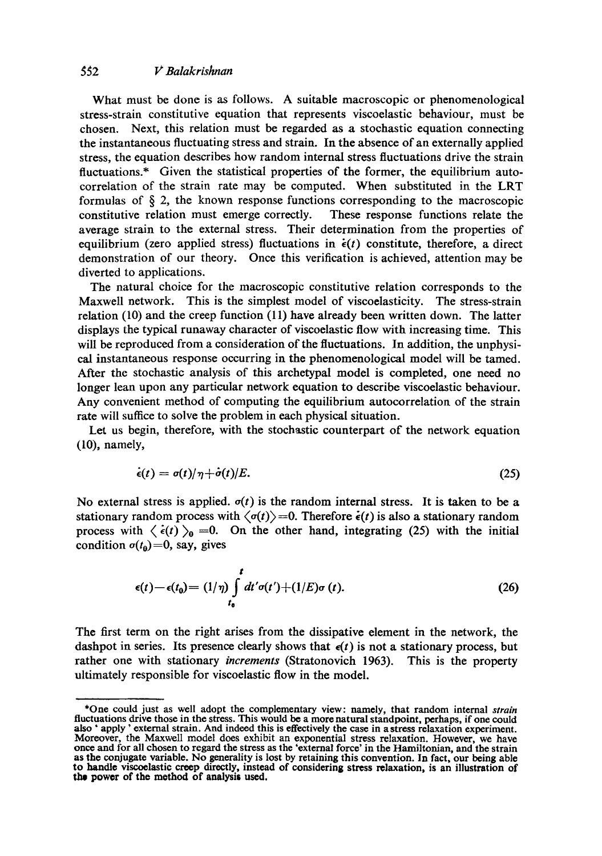## *~2 V Balakrishnan*

What must be done is as follows. A suitable macroscopic or phenomenological stress-strain constitutive equation that represents viscoelastic behaviour, must be chosen. Next, this relation must be regarded as a stochastic equation connecting the instantaneous fluctuating stress and strain. In the absence of an externally applied stress, the equation describes how random internal stress fluctuations drive the strain fluctuations.\* Given the statistical properties of the former, the equilibrium autocorrelation of the strain rate may be computed. When substituted in the LRT formulas of  $\S$  2, the known response functions corresponding to the macroscopic constitutive relation must emerge correctly. These response functions relate the average strain to the external stress. Their determination from the properties of equilibrium (zero applied stress) fluctuations in  $\dot{\epsilon}(t)$  constitute, therefore, a direct demonstration of our theory. Once this verification is achieved, attention may be diverted to applications.

The natural choice for the macroscopic constitutive relation corresponds to the Maxwell network. This is the simplest model of viscoelasticity. The stress-strain relation (10) and the creep function (11) have already been written down. The latter displays the typical runaway character of viscoelastic flow with increasing time. This will be reproduced from a consideration of the fluctuations. In addition, the unphysical instantaneous response occurring in the phenomenological model will be tamed. After the stochastic analysis of this archetypal model is completed, one need no longer lean upon any particular network equation to describe viscoelastic behaviour. Any convenient method of computing the equilibrium autocorrelation of the strain rate will suffice to solve the problem in each physical situation.

Let us begin, therefore, with the stochastic counterpart of the network equation (10), namely,

$$
\dot{\epsilon}(t) = \sigma(t)/\eta + \dot{\sigma}(t)/E. \tag{25}
$$

No external stress is applied,  $\sigma(t)$  is the random internal stress. It is taken to be a stationary random process with  $\langle \sigma(t) \rangle = 0$ . Therefore  $\dot{\epsilon}(t)$  is also a stationary random process with  $\langle \dot{\epsilon}(t) \rangle_0 = 0$ . On the other hand, integrating (25) with the initial condition  $\sigma(t_0)=0$ , say, gives

$$
\epsilon(t) - \epsilon(t_0) = (1/\eta) \int_{t_0}^t dt' \sigma(t') + (1/E) \sigma(t). \tag{26}
$$

The first term on the right arises from the dissipative element in the network, the dashpot in series. Its presence clearly shows that  $\epsilon(t)$  is not a stationary process, but rather one with stationary *increments* (Stratonovich 1963). This is the property ultimately responsible for viscoelastic flow in the model.

<sup>\*</sup>One could just as well adopt the complementary view: namely, that random internal *strain*  **fluctuations** drive those in **the stress.** This would be a more natural standpoint, perhaps, if one could also ' apply' external strain. And indeed **this is effectively the** case in a stress relaxation experiment. Moreover, the Maxwell model does exhibit an exponential stress relaxation. However, we have once and for all chosen to regard **the stress as the 'external** force' in the Hamiltonian, **and the strain as the conjugate variable. No generality is lost by retaining this convention. In fact, our being able to handl¢ viscoelastic crop directly, instead of considering stress relaxation, is an illustration of the power of the method of analysis used.**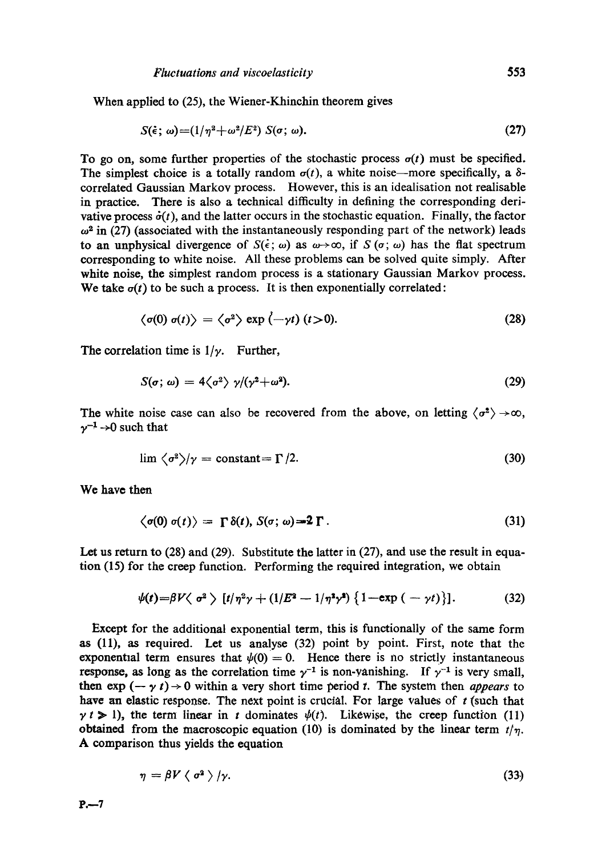When applied to (25), the Wiener-Khinchin theorem gives

$$
S(\dot{\epsilon};\,\omega)=(1/\eta^2+\omega^2/E^2)\;S(\sigma;\,\omega).
$$

To go on, some further properties of the stochastic process  $\sigma(t)$  must be specified. The simplest choice is a totally random  $\sigma(t)$ , a white noise—more specifically, a  $\delta$ correlated Gaussian Markov process. However, this is an idealisation not realisable in practice. There is also a technical difficulty in defining the corresponding derivative process  $\dot{\sigma}(t)$ , and the latter occurs in the stochastic equation. Finally, the factor  $\omega^2$  in (27) (associated with the instantaneously responding part of the network) leads to an unphysical divergence of  $S(\epsilon; \omega)$  as  $\omega \rightarrow \infty$ , if  $S(\sigma; \omega)$  has the flat spectrum corresponding to white noise. All these problems can be solved quite simply. After white noise, the simplest random process is a stationary Gaussian Markov process. We take  $\sigma(t)$  to be such a process. It is then exponentially correlated:

$$
\langle \sigma(0) \sigma(t) \rangle = \langle \sigma^2 \rangle \exp(-\gamma t) (t > 0). \tag{28}
$$

The correlation time is  $1/\gamma$ . Further,

$$
S(\sigma; \omega) = 4 \langle \sigma^2 \rangle \ \gamma / (\gamma^2 + \omega^2). \tag{29}
$$

The white noise case can also be recovered from the above, on letting  $\langle \sigma^2 \rangle \rightarrow \infty$ ,  $\gamma^{-1} \rightarrow 0$  such that

$$
\lim \langle \sigma^2 \rangle / \gamma = \text{constant} = \Gamma / 2. \tag{30}
$$

We have then

$$
\langle \sigma(0) \; \sigma(t) \rangle = \; \Gamma \; \delta(t), \; S(\sigma; \, \omega) = 2 \; \Gamma \; . \tag{31}
$$

Let us return to (28) and (29). Substitute the latter in (27), and use the result in equation (15) for the creep function. Performing the required integration, we obtain

$$
\psi(t) = \beta V \langle \sigma^2 \rangle \left[ t/\eta^2 \gamma + (1/E^2 - 1/\eta^2 \gamma^2) \left\{ 1 - \exp \left( -\gamma t \right) \right\} \right]. \tag{32}
$$

Except for the additional exponential term, this is functionally of the same form as (11), as required. Let us analyse (32) point by point. First, note that the exponential term ensures that  $\psi(0) = 0$ . Hence there is no strictly instantaneous response, as long as the correlation time  $\gamma^{-1}$  is non-yanishing. If  $\gamma^{-1}$  is very small, then  $\exp(-\gamma t) \rightarrow 0$  within a very short time period t. The system then *appears* to have an elastic response. The next point is crucial. For large values of  $t$  (such that  $\gamma$  t > 1), the term linear in t dominates  $\psi(t)$ . Likewise, the creep function (11) obtained from the macroscopic equation (10) is dominated by the linear term  $t/\eta$ . A comparison thus yields the equation

$$
\eta = \beta V \langle \sigma^2 \rangle / \gamma. \tag{33}
$$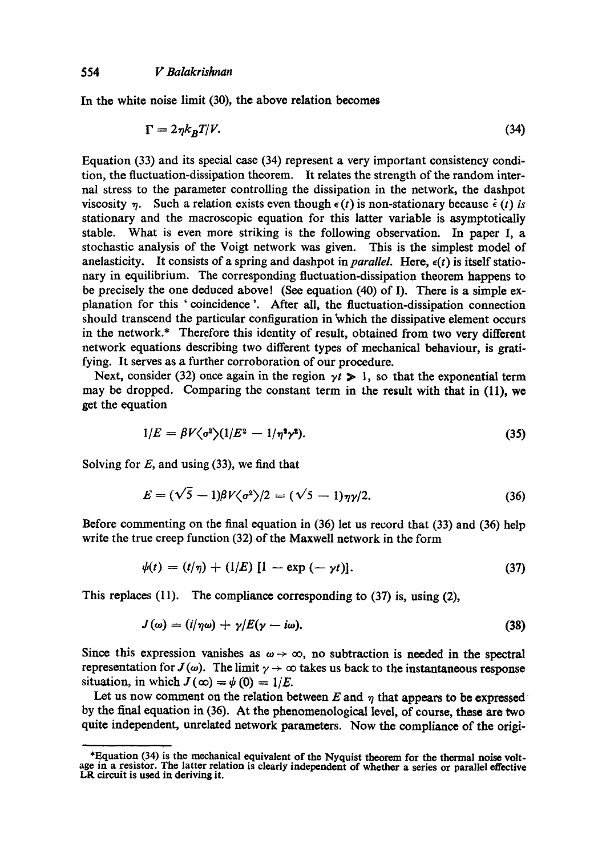In the white noise limit (30), the above relation becomes

$$
\Gamma = 2\eta k_B T/V. \tag{34}
$$

Equation (33) and its special case (34) represent a very important consistency condition, the fluctuation-dissipation theorem. It relates the strength of the random internal stress to the parameter controlling the dissipation in the network, the dashpot viscosity  $\eta$ . Such a relation exists even though  $\epsilon(t)$  is non-stationary because  $\dot{\epsilon}(t)$  *is* stationary and the macroscopic equation for this latter variable is asymptotically stable. What is even more striking is the following observation. In paper I, a stochastic analysis of the Voigt network was given. This is the simplest model of anelasticity. It consists of a spring and dashpot in *parallel*. Here,  $\epsilon(t)$  is itself stationary in equilibrium. The corresponding fluctuation-dissipation theorem happens to be precisely the one deduced above! (See equation (40) of I). There is a simple explanation for this 'coincidence '. After all, the fluctuation-dissipation connection should transcend the particular configuration in which the dissipative element occurs in the network.\* Therefore this identity of result, obtained from two very different network equations describing two different types of mechanical behaviour, is gratifying. It serves as a further corroboration of our procedure.

Next, consider (32) once again in the region  $\gamma t \geq 1$ , so that the exponential term may be dropped. Comparing the constant term in the result with that in (11), we get the equation

$$
1/E = \beta V \langle \sigma^2 \rangle (1/E^2 - 1/\eta^2 \gamma^2). \tag{35}
$$

Solving for  $E$ , and using (33), we find that

$$
E = (\sqrt{5} - 1)\beta V \langle \sigma^2 \rangle / 2 = (\sqrt{5} - 1)\eta \gamma / 2. \tag{36}
$$

Before commenting on the final equation in (36) let us record that (33) and (36) help write the true creep function (32) of the Maxwell network in the form

$$
\psi(t) = (t/\eta) + (1/E) [1 - \exp(-\gamma t)]. \tag{37}
$$

This replaces (11). The compliance corresponding to (37) is, using (2),

$$
J(\omega) = (i/\eta \omega) + \gamma/E(\gamma - i\omega). \tag{38}
$$

Since this expression vanishes as  $\omega \rightarrow \infty$ , no subtraction is needed in the spectral representation for  $J(\omega)$ . The limit  $\gamma \to \infty$  takes us back to the instantaneous response situation, in which  $J(\infty) = \psi(0) = 1/E$ .

Let us now comment on the relation between  $E$  and  $\eta$  that appears to be expressed by the final equation in (36). At the phenomenological level, of course, these are two quite independent, unrelated network parameters. Now the compliance of the origi-

<sup>\*</sup>Equation (34) is the mechanical equivalent of the Nyquist theorem for the thermal noise voltage in a resistor. The latter relation is clearly independent of whether a series or parallel **effective**  LR circuit is used in deriving it.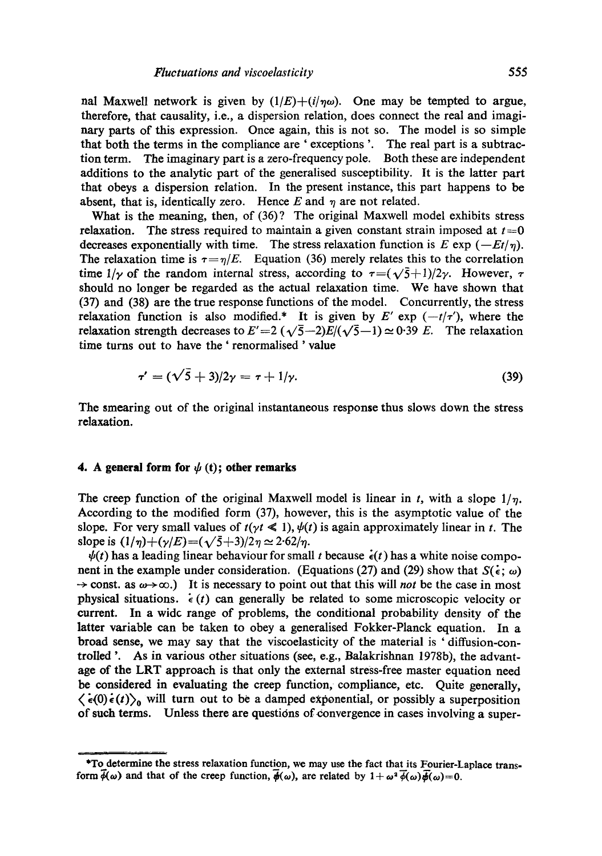nal Maxwell network is given by  $(1/E)+(i/\eta\omega)$ . One may be tempted to argue, therefore, that causality, i.e., a dispersion relation, does connect the real and imagimary parts of this expression. Once again, this is not so. The model is so simple that both the terms in the compliance are ' exceptions '. The real part is a subtraction term. The imaginary part is a zero-frequency pole. Both these are independent additions to the analytic part of the generalised susceptibility. It is the latter part that obeys a dispersion relation. In the present instance, this part happens to be absent, that is, identically zero. Hence  $E$  and  $\eta$  are not related.

What is the meaning, then, of (36)? The original Maxwell model exhibits stress relaxation. The stress required to maintain a given constant strain imposed at  $t=0$ decreases exponentially with time. The stress relaxation function is  $E \exp(-Et/\eta)$ . The relaxation time is  $\tau = \eta/E$ . Equation (36) merely relates this to the correlation time  $1/\gamma$  of the random internal stress, according to  $\tau = (\sqrt{5}+1)/2\gamma$ . However,  $\tau$ should no longer be regarded as the actual relaxation time. We have shown that (37) and (38) are the true response functions of the model. Concurrently, the stress relaxation function is also modified.<sup>\*</sup> It is given by E' exp  $(-t/\tau')$ , where the relaxation strength decreases to  $E'=2(\sqrt{5}-2)E/(\sqrt{5}-1)\approx 0.39$  E. The relaxation time turns out to have the ' renormalised ' value

$$
\tau' = (\sqrt{5} + 3)/2\gamma = \tau + 1/\gamma. \tag{39}
$$

The smearing out of the original instantaneous response thus slows down the stress relaxation.

### **4.** A general form for  $\psi$  (t); other remarks

The creep function of the original Maxwell model is linear in t, with a slope  $1/n$ . According to the modified form (37), however, this is the asymptotic value of the slope. For very small values of  $t(yt \leq 1)$ ,  $\psi(t)$  is again approximately linear in t. The slope is  $(1/\eta) + (\gamma/E) = (\sqrt{5}+3)/2\eta \approx 2.62/\eta$ .

 $\psi(t)$  has a leading linear behaviour for small t because  $\dot{\epsilon}(t)$  has a white noise component in the example under consideration. (Equations (27) and (29) show that  $S(\epsilon; \omega)$  $\rightarrow$  const. as  $\omega \rightarrow \infty$ .) It is necessary to point out that this will *not* be the case in most physical situations.  $\epsilon(t)$  can generally be related to some microscopic velocity or current. In a wide range of problems, the conditional probability density of the **latter** variable can be taken to obey a generalised Fokker-Planck equation. In a broad sense, we may say that the viscoelasticity of the material is ' diffusion-controlled '. As in various other situations (see, e.g., Balakrishnan 1978b), the advantage of the LRT approach is that only the external stress-free master equation need be considered in evaluating the creep function, compliance, etc. Quite generally,  $\langle \dot{\epsilon}(0) \dot{\epsilon}(t) \rangle_0$  will turn out to be a damped exponential, or possibly a superposition of such terms. Unless there are questions of convergence in cases involving a super-

**<sup>\*</sup>To determine the stress relaxation function, we may use the fact that its Fourier-Laplace trans**form  $\phi(\omega)$  and that of the creep function,  $\phi(\omega)$ , are related by  $1 + \omega^2 \phi(\omega) \overline{\phi(\omega)} = 0$ .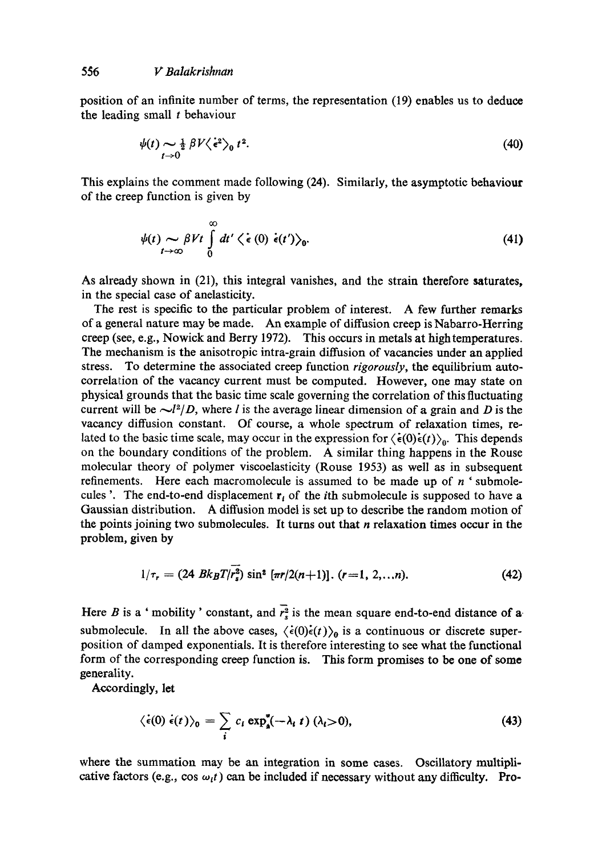position of an infinite number of terms, the representation (19) enables us to deduce the leading small  $t$  behaviour

$$
\psi(t) \sim \frac{1}{2} \beta V \langle \dot{\epsilon}^2 \rangle_0 t^2. \tag{40}
$$

This explains the comment made following (24). Similarly, the asymptotic behaviour of the creep function is given by

$$
\psi(t) \sim \beta V t \int_{t-\infty}^{\infty} dt' \langle \dot{\epsilon}(0) \dot{\epsilon}(t') \rangle_0.
$$
\n(41)

As already shown in (21), this integral vanishes, and the strain therefore saturates, in the special case of anelasticity.

The rest is specific to the particular problem of interest. A few further remarks of a general nature may be made. An example of diffusion creep is Nabarro-Herring creep (see, e.g., Nowick and Berry 1972). This occurs in metals at high temperatures. The mechanism is the anisotropic intra-grain diffusion of vacancies under an applied stress. To determine the associated creep function *rigorously,* the equilibrium autocorrelation of the vacancy current must be computed. However, one may state on physical grounds that the basic time scale governing the correlation of this fluctuating current will be  $\sim l^2/D$ , where l is the average linear dimension of a grain and D is the vacancy diffusion constant. Of course, a whole spectrum of relaxation times, related to the basic time scale, may occur in the expression for  $\langle \dot{\epsilon}(0) \dot{\epsilon}(t) \rangle_0$ . This depends on the boundary conditions of the problem. A similar thing happens in the Rouse molecular theory of polymer viscoelasticity (Rouse 1953) as well as in subsequent refinements. Here each macromolecule is assumed to be made up of  $n<sup>1</sup>$  submolecules '. The end-to-end displacement  $r_i$  of the *i*th submolecule is supposed to have a Gaussian distribution. A diffusion model is set up to describe the random motion of the points joining two submolecules. It turns out that  $n$  relaxation times occur in the problem, given by

$$
1/\tau_r = (24 Bk_B T/r_s^2) \sin^2 \left[\pi r/2(n+1)\right]. \quad (r=1, 2, \ldots n). \tag{42}
$$

Here B is a ' mobility' constant, and  $\overline{r_s^2}$  is the mean square end-to-end distance of a submolecule. In all the above cases,  $\langle \dot{\epsilon}(0)\dot{\epsilon}(t)\rangle_0$  is a continuous or discrete superposition of damped exponentials. It is therefore interesting to see what the functional form of the corresponding creep function is. *This* form promises to be one of some generality.

Accordingly, let

$$
\langle \dot{\epsilon}(0) \dot{\epsilon}(t) \rangle_0 = \sum_i c_i \exp^*_{\mathbf{a}}(-\lambda_i t) (\lambda_i > 0), \tag{43}
$$

where the summation may be an integration in some cases. Oscillatory multiplicative factors (e.g., cos  $\omega_i t$ ) can be included if necessary without any difficulty. Pro